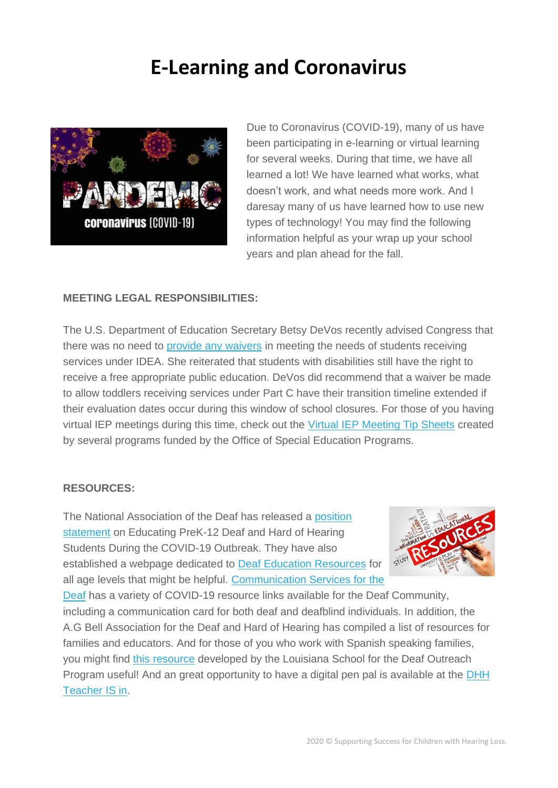## **E-Learning and Coronavirus**



Due to Coronavirus (COVID-19), many of us have been participating in e-learning or virtual learning for several weeks. During that time, we have all learned a lot! We have learned what works, what doesn't work, and what needs more work. And I daresay many of us have learned how to use new types of technology! You may find the following information helpful as your wrap up your school years and plan ahead for the fall.

## **MEETING LEGAL RESPONSIBILITIES:**

The U.S. Department of Education Secretary Betsy DeVos recently advised Congress that there was no need to [provide any waivers](https://blogs.edweek.org/edweek/campaign-k-12/2020/04/betsy-devos-special-education-no-reason-waive-core.html) in meeting the needs of students receiving services under IDEA. She reiterated that students with disabilities still have the right to receive a free appropriate public education. DeVos did recommend that a waiver be made to allow toddlers receiving services under Part C have their transition timeline extended if their evaluation dates occur during this window of school closures. For those of you having virtual IEP meetings during this time, check out the [Virtual IEP Meeting Tip Sheets](https://files.constantcontact.com/6bf0b2b2201/c6fe03bd-7bb3-43d3-99fe-0649e41d9090.pdf?fbclid=IwAR0OovF5akG8s75mvBi2FCVDXfL9CVniqIvkpHmdsKGtuVt19vi-Llk58xs) created by several programs funded by the Office of Special Education Programs.

## **RESOURCES:**

The National Association of the Deaf has released a [position](https://www.nad.org/position-statement-educating-prek-12-deaf-and-hard-of-hearing-students-during-the-covid-19-outbreak/)  [statement](https://www.nad.org/position-statement-educating-prek-12-deaf-and-hard-of-hearing-students-during-the-covid-19-outbreak/) on Educating PreK-12 Deaf and Hard of Hearing Students During the COVID-19 Outbreak. They have also established a webpage dedicated to [Deaf Education Resources](https://deafeducation.us/resources/) for all age levels that might be helpful. [Communication Services for the](https://www.csd.org/coronavirus/?utm_medium=email&utm_source=sharpspring&sslid=MzM1tjQ2tTAzMDe2BAA&sseid=MzIwMjYwMDcyNgUA&jobid=f17a1bfb-b277-4695-be49-a0849ac869b2#aslvids) 



[Deaf](https://www.csd.org/coronavirus/?utm_medium=email&utm_source=sharpspring&sslid=MzM1tjQ2tTAzMDe2BAA&sseid=MzIwMjYwMDcyNgUA&jobid=f17a1bfb-b277-4695-be49-a0849ac869b2#aslvids) has a variety of COVID-19 resource links available for the Deaf Community, including a communication card for both deaf and deafblind individuals. In addition, the A.G Bell Association for the Deaf and Hard of Hearing has compiled a list of resources for families and educators. And for those of you who work with Spanish speaking families, you might find [this resource](https://docs.google.com/document/d/12QECl-986yMRXOGYDyH7NnPm2XHOozRZUO7iOlAHBno/edit?usp=sharing) developed by the Louisiana School for the Deaf Outreach Program useful! And an great opportunity to have a digital pen pal is available at the [DHH](https://sites.google.com/view/dhhteacherisin/doppelgang-kids)  [Teacher IS in.](https://sites.google.com/view/dhhteacherisin/doppelgang-kids)